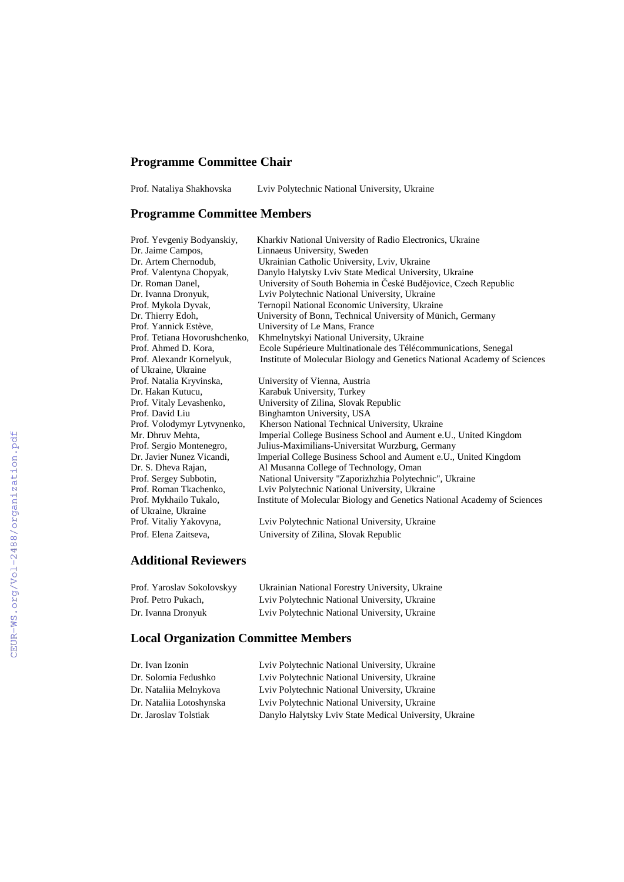## **Programme Committee Chair**

Prof. Nataliya Shakhovska Lviv Polytechnic National University, Ukraine

## **Programme Committee Members**

| Prof. Yevgeniy Bodyanskiy,    | Kharkiv National University of Radio Electronics, Ukraine                |
|-------------------------------|--------------------------------------------------------------------------|
| Dr. Jaime Campos,             | Linnaeus University, Sweden                                              |
| Dr. Artem Chernodub,          | Ukrainian Catholic University, Lviv, Ukraine                             |
| Prof. Valentyna Chopyak,      | Danylo Halytsky Lviv State Medical University, Ukraine                   |
| Dr. Roman Danel.              | University of South Bohemia in České Budějovice, Czech Republic          |
| Dr. Ivanna Dronyuk,           | Lviv Polytechnic National University, Ukraine                            |
| Prof. Mykola Dyvak,           | Ternopil National Economic University, Ukraine                           |
| Dr. Thierry Edoh,             | University of Bonn, Technical University of Münich, Germany              |
| Prof. Yannick Estève,         | University of Le Mans, France                                            |
| Prof. Tetiana Hovorushchenko, | Khmelnytskyi National University, Ukraine                                |
| Prof. Ahmed D. Kora,          | Ecole Supérieure Multinationale des Télécommunications, Senegal          |
| Prof. Alexandr Kornelyuk,     | Institute of Molecular Biology and Genetics National Academy of Sciences |
| of Ukraine, Ukraine           |                                                                          |
| Prof. Natalia Kryvinska,      | University of Vienna, Austria                                            |
| Dr. Hakan Kutucu.             | Karabuk University, Turkey                                               |
| Prof. Vitaly Levashenko,      | University of Zilina, Slovak Republic                                    |
| Prof. David Liu               | Binghamton University, USA                                               |
| Prof. Volodymyr Lytvynenko,   | Kherson National Technical University, Ukraine                           |
| Mr. Dhruv Mehta,              | Imperial College Business School and Aument e.U., United Kingdom         |
| Prof. Sergio Montenegro,      | Julius-Maximilians-Universitat Wurzburg, Germany                         |
| Dr. Javier Nunez Vicandi,     | Imperial College Business School and Aument e.U., United Kingdom         |
| Dr. S. Dheva Rajan,           | Al Musanna College of Technology, Oman                                   |
| Prof. Sergey Subbotin,        | National University "Zaporizhzhia Polytechnic", Ukraine                  |
| Prof. Roman Tkachenko,        | Lviv Polytechnic National University, Ukraine                            |
| Prof. Mykhailo Tukalo,        | Institute of Molecular Biology and Genetics National Academy of Sciences |
| of Ukraine, Ukraine           |                                                                          |
| Prof. Vitaliy Yakovyna,       | Lviv Polytechnic National University, Ukraine                            |
| Prof. Elena Zaitseva.         | University of Zilina, Slovak Republic                                    |

## **Additional Reviewers**

| Prof. Yaroslav Sokolovskyy | Ukrainian National Forestry University, Ukraine |
|----------------------------|-------------------------------------------------|
| Prof. Petro Pukach.        | Lviv Polytechnic National University, Ukraine   |
| Dr. Ivanna Dronyuk         | Lviv Polytechnic National University, Ukraine   |

## **Local Organization Committee Members**

| Lviv Polytechnic National University, Ukraine          |
|--------------------------------------------------------|
| Lviv Polytechnic National University, Ukraine          |
| Lviv Polytechnic National University, Ukraine          |
| Lviv Polytechnic National University, Ukraine          |
| Danylo Halytsky Lviv State Medical University, Ukraine |
|                                                        |